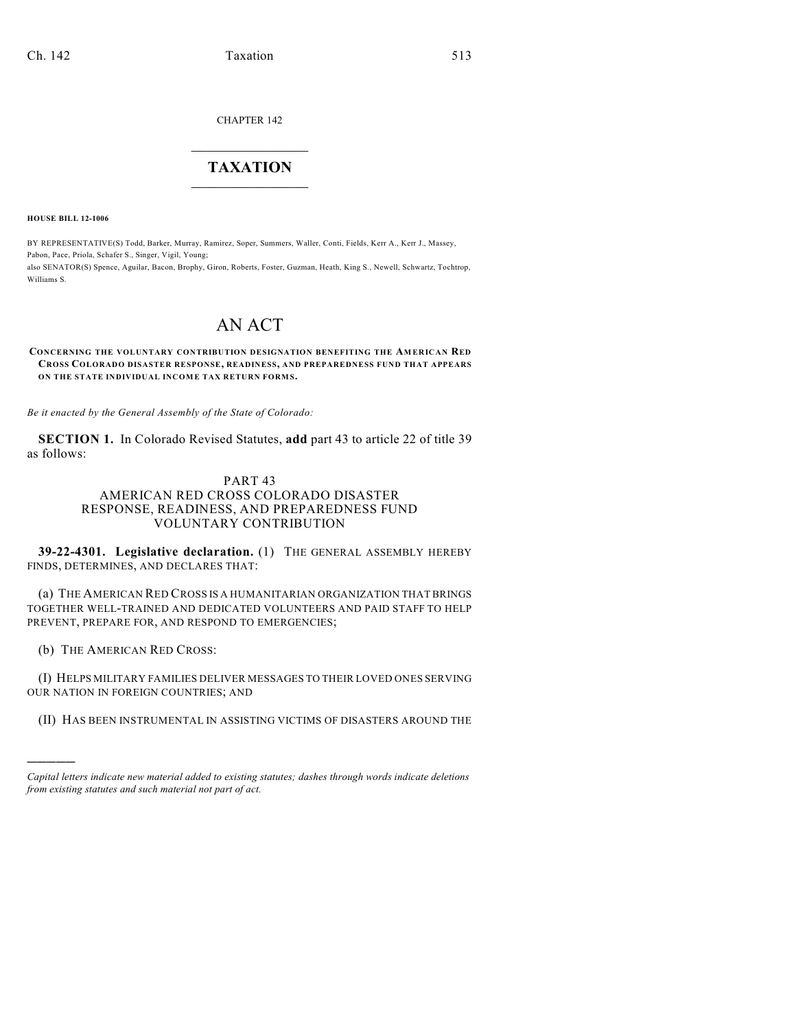CHAPTER 142

## $\overline{\phantom{a}}$  . The set of the set of the set of the set of the set of the set of the set of the set of the set of the set of the set of the set of the set of the set of the set of the set of the set of the set of the set o **TAXATION**  $\_$

**HOUSE BILL 12-1006**

BY REPRESENTATIVE(S) Todd, Barker, Murray, Ramirez, Soper, Summers, Waller, Conti, Fields, Kerr A., Kerr J., Massey, Pabon, Pace, Priola, Schafer S., Singer, Vigil, Young; also SENATOR(S) Spence, Aguilar, Bacon, Brophy, Giron, Roberts, Foster, Guzman, Heath, King S., Newell, Schwartz, Tochtrop, Williams S.

# AN ACT

#### **CONCERNING THE VOLUNTARY CONTRIBUTION DESIGNATION BENEFITING THE AM ERICAN RED CROSS COLORADO DISASTER RESPONSE, READINESS, AND PREPAREDNESS FUND THAT APPEARS ON THE STATE INDIVIDUAL INCOME TAX RETURN FORMS.**

*Be it enacted by the General Assembly of the State of Colorado:*

**SECTION 1.** In Colorado Revised Statutes, **add** part 43 to article 22 of title 39 as follows:

### PART 43

#### AMERICAN RED CROSS COLORADO DISASTER RESPONSE, READINESS, AND PREPAREDNESS FUND VOLUNTARY CONTRIBUTION

**39-22-4301. Legislative declaration.** (1) THE GENERAL ASSEMBLY HEREBY FINDS, DETERMINES, AND DECLARES THAT:

(a) THE AMERICAN RED CROSS IS A HUMANITARIAN ORGANIZATION THAT BRINGS TOGETHER WELL-TRAINED AND DEDICATED VOLUNTEERS AND PAID STAFF TO HELP PREVENT, PREPARE FOR, AND RESPOND TO EMERGENCIES;

(b) THE AMERICAN RED CROSS:

)))))

(I) HELPS MILITARY FAMILIES DELIVER MESSAGES TO THEIR LOVED ONES SERVING OUR NATION IN FOREIGN COUNTRIES; AND

(II) HAS BEEN INSTRUMENTAL IN ASSISTING VICTIMS OF DISASTERS AROUND THE

*Capital letters indicate new material added to existing statutes; dashes through words indicate deletions from existing statutes and such material not part of act.*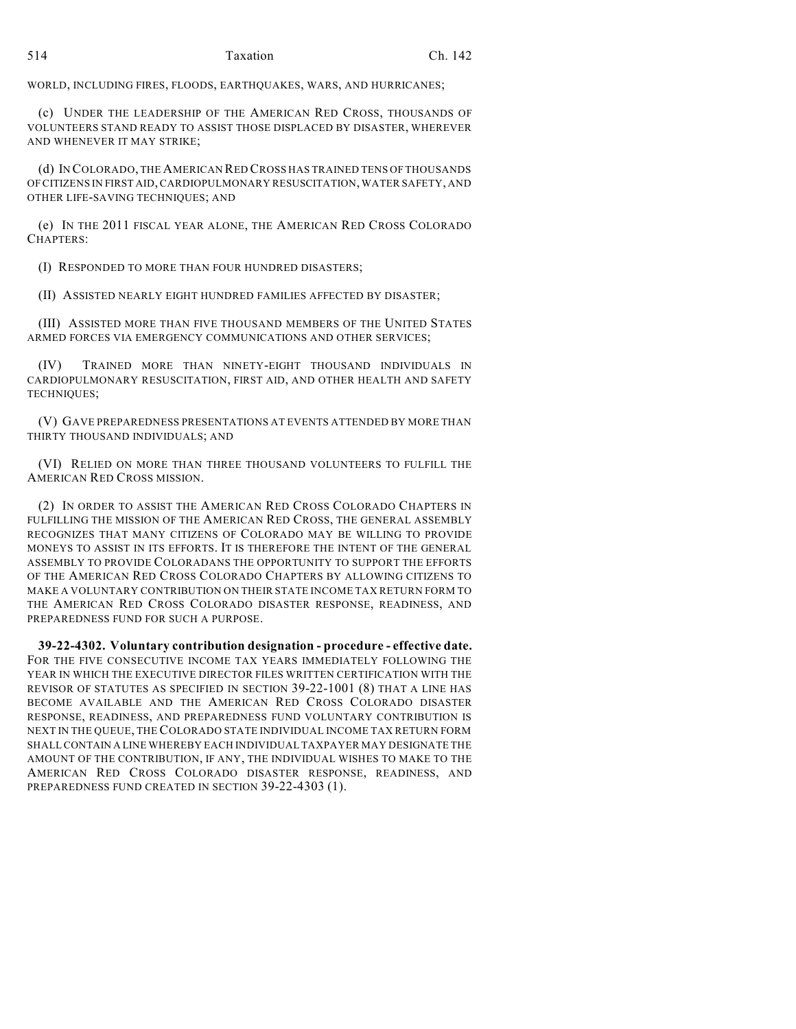WORLD, INCLUDING FIRES, FLOODS, EARTHQUAKES, WARS, AND HURRICANES;

(c) UNDER THE LEADERSHIP OF THE AMERICAN RED CROSS, THOUSANDS OF VOLUNTEERS STAND READY TO ASSIST THOSE DISPLACED BY DISASTER, WHEREVER AND WHENEVER IT MAY STRIKE;

(d) IN COLORADO, THE AMERICAN RED CROSS HAS TRAINED TENS OF THOUSANDS OF CITIZENS IN FIRST AID, CARDIOPULMONARY RESUSCITATION, WATER SAFETY, AND OTHER LIFE-SAVING TECHNIQUES; AND

(e) IN THE 2011 FISCAL YEAR ALONE, THE AMERICAN RED CROSS COLORADO CHAPTERS:

(I) RESPONDED TO MORE THAN FOUR HUNDRED DISASTERS;

(II) ASSISTED NEARLY EIGHT HUNDRED FAMILIES AFFECTED BY DISASTER;

(III) ASSISTED MORE THAN FIVE THOUSAND MEMBERS OF THE UNITED STATES ARMED FORCES VIA EMERGENCY COMMUNICATIONS AND OTHER SERVICES;

(IV) TRAINED MORE THAN NINETY-EIGHT THOUSAND INDIVIDUALS IN CARDIOPULMONARY RESUSCITATION, FIRST AID, AND OTHER HEALTH AND SAFETY TECHNIQUES;

(V) GAVE PREPAREDNESS PRESENTATIONS AT EVENTS ATTENDED BY MORE THAN THIRTY THOUSAND INDIVIDUALS; AND

(VI) RELIED ON MORE THAN THREE THOUSAND VOLUNTEERS TO FULFILL THE AMERICAN RED CROSS MISSION.

(2) IN ORDER TO ASSIST THE AMERICAN RED CROSS COLORADO CHAPTERS IN FULFILLING THE MISSION OF THE AMERICAN RED CROSS, THE GENERAL ASSEMBLY RECOGNIZES THAT MANY CITIZENS OF COLORADO MAY BE WILLING TO PROVIDE MONEYS TO ASSIST IN ITS EFFORTS. IT IS THEREFORE THE INTENT OF THE GENERAL ASSEMBLY TO PROVIDE COLORADANS THE OPPORTUNITY TO SUPPORT THE EFFORTS OF THE AMERICAN RED CROSS COLORADO CHAPTERS BY ALLOWING CITIZENS TO MAKE A VOLUNTARY CONTRIBUTION ON THEIR STATE INCOME TAX RETURN FORM TO THE AMERICAN RED CROSS COLORADO DISASTER RESPONSE, READINESS, AND PREPAREDNESS FUND FOR SUCH A PURPOSE.

**39-22-4302. Voluntary contribution designation - procedure - effective date.** FOR THE FIVE CONSECUTIVE INCOME TAX YEARS IMMEDIATELY FOLLOWING THE YEAR IN WHICH THE EXECUTIVE DIRECTOR FILES WRITTEN CERTIFICATION WITH THE REVISOR OF STATUTES AS SPECIFIED IN SECTION 39-22-1001 (8) THAT A LINE HAS BECOME AVAILABLE AND THE AMERICAN RED CROSS COLORADO DISASTER RESPONSE, READINESS, AND PREPAREDNESS FUND VOLUNTARY CONTRIBUTION IS NEXT IN THE QUEUE, THE COLORADO STATE INDIVIDUAL INCOME TAX RETURN FORM SHALLCONTAIN A LINE WHEREBY EACH INDIVIDUAL TAXPAYER MAY DESIGNATE THE AMOUNT OF THE CONTRIBUTION, IF ANY, THE INDIVIDUAL WISHES TO MAKE TO THE AMERICAN RED CROSS COLORADO DISASTER RESPONSE, READINESS, AND PREPAREDNESS FUND CREATED IN SECTION 39-22-4303 (1).